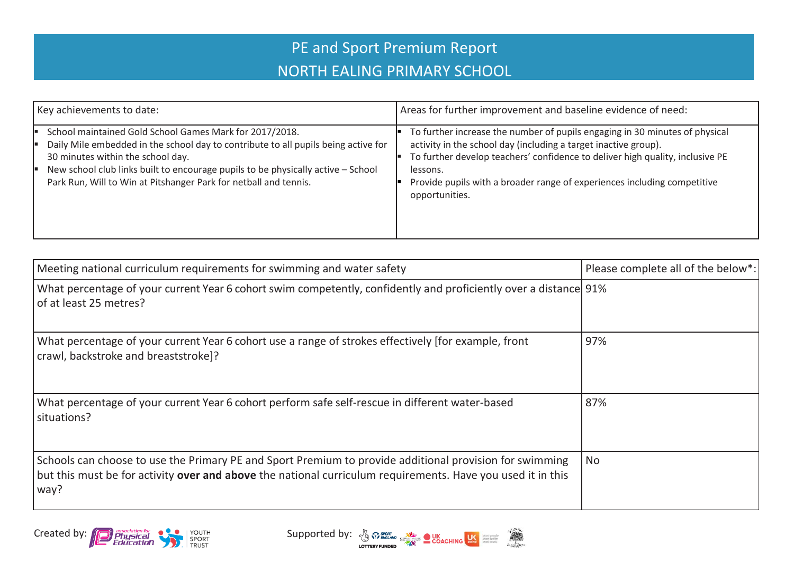## PE and Sport Premium Report NORTH EALING PRIMARY SCHOOL

| Key achievements to date:                                                                                                                                                                                                                                                                                                                  | Areas for further improvement and baseline evidence of need:                                                                                                                                                                                                                                                                              |
|--------------------------------------------------------------------------------------------------------------------------------------------------------------------------------------------------------------------------------------------------------------------------------------------------------------------------------------------|-------------------------------------------------------------------------------------------------------------------------------------------------------------------------------------------------------------------------------------------------------------------------------------------------------------------------------------------|
| School maintained Gold School Games Mark for 2017/2018.<br>Daily Mile embedded in the school day to contribute to all pupils being active for<br>30 minutes within the school day.<br>New school club links built to encourage pupils to be physically active - School<br>Park Run, Will to Win at Pitshanger Park for netball and tennis. | To further increase the number of pupils engaging in 30 minutes of physical<br>activity in the school day (including a target inactive group).<br>To further develop teachers' confidence to deliver high quality, inclusive PE<br>lessons.<br>Provide pupils with a broader range of experiences including competitive<br>opportunities. |

| Meeting national curriculum requirements for swimming and water safety                                                                                                                                                                | Please complete all of the below*: |
|---------------------------------------------------------------------------------------------------------------------------------------------------------------------------------------------------------------------------------------|------------------------------------|
| What percentage of your current Year 6 cohort swim competently, confidently and proficiently over a distance 91%<br>of at least 25 metres?                                                                                            |                                    |
| What percentage of your current Year 6 cohort use a range of strokes effectively [for example, front<br>crawl, backstroke and breaststroke]?                                                                                          | 97%                                |
| What percentage of your current Year 6 cohort perform safe self-rescue in different water-based<br>situations?                                                                                                                        | 87%                                |
| Schools can choose to use the Primary PE and Sport Premium to provide additional provision for swimming<br>but this must be for activity <b>over and above</b> the national curriculum requirements. Have you used it in this<br>way? | No                                 |



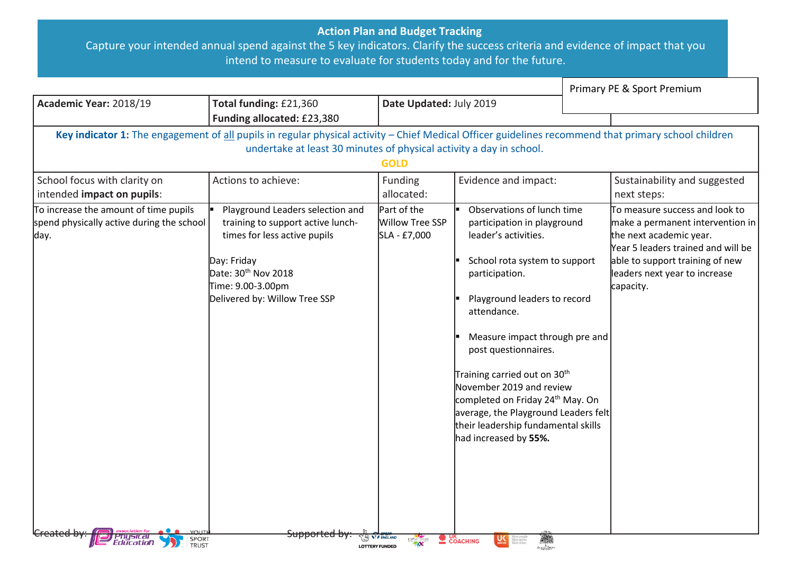## **Action Plan and Budget Tracking**

Capture your intended annual spend against the 5 key indicators. Clarify the success criteria and evidence of impact that you intend to measure to evaluate for students today and for the future.

|                                                                                            |                                                                                                                                                                                                                             |                                                       |                                                                                                                                                                                                                                                                                                                                                                                                                                                                               | Primary PE & Sport Premium                                                                                                                                                                                           |
|--------------------------------------------------------------------------------------------|-----------------------------------------------------------------------------------------------------------------------------------------------------------------------------------------------------------------------------|-------------------------------------------------------|-------------------------------------------------------------------------------------------------------------------------------------------------------------------------------------------------------------------------------------------------------------------------------------------------------------------------------------------------------------------------------------------------------------------------------------------------------------------------------|----------------------------------------------------------------------------------------------------------------------------------------------------------------------------------------------------------------------|
| Academic Year: 2018/19                                                                     | Date Updated: July 2019<br>Total funding: £21,360                                                                                                                                                                           |                                                       |                                                                                                                                                                                                                                                                                                                                                                                                                                                                               |                                                                                                                                                                                                                      |
|                                                                                            | Funding allocated: £23,380                                                                                                                                                                                                  |                                                       |                                                                                                                                                                                                                                                                                                                                                                                                                                                                               |                                                                                                                                                                                                                      |
|                                                                                            | Key indicator 1: The engagement of all pupils in regular physical activity - Chief Medical Officer guidelines recommend that primary school children<br>undertake at least 30 minutes of physical activity a day in school. | <b>GOLD</b>                                           |                                                                                                                                                                                                                                                                                                                                                                                                                                                                               |                                                                                                                                                                                                                      |
| School focus with clarity on<br>intended impact on pupils:                                 | Actions to achieve:                                                                                                                                                                                                         | Funding<br>allocated:                                 | Evidence and impact:                                                                                                                                                                                                                                                                                                                                                                                                                                                          | Sustainability and suggested<br>next steps:                                                                                                                                                                          |
| To increase the amount of time pupils<br>spend physically active during the school<br>day. | Playground Leaders selection and<br>training to support active lunch-<br>times for less active pupils<br>Day: Friday<br>Date: 30 <sup>th</sup> Nov 2018<br>Time: 9.00-3.00pm<br>Delivered by: Willow Tree SSP               | Part of the<br><b>Willow Tree SSP</b><br>SLA - £7,000 | Observations of lunch time<br>participation in playground<br>leader's activities.<br>School rota system to support<br>participation.<br>Playground leaders to record<br>attendance.<br>Measure impact through pre and<br>post questionnaires.<br>Training carried out on 30 <sup>th</sup><br>November 2019 and review<br>completed on Friday 24 <sup>th</sup> May. On<br>average, the Playground Leaders felt<br>their leadership fundamental skills<br>had increased by 55%. | To measure success and look to<br>make a permanent intervention in<br>the next academic year.<br>Year 5 leaders trained and will be<br>able to support training of new<br>leaders next year to increase<br>capacity. |
| i Priysicai<br>Education<br>SPORT<br>TRUST                                                 | <del>Supportea b</del>                                                                                                                                                                                                      | <b>LOTTERY FUNDED</b>                                 | 編<br>$\sum_{k=1}^{N}$ COACHING                                                                                                                                                                                                                                                                                                                                                                                                                                                |                                                                                                                                                                                                                      |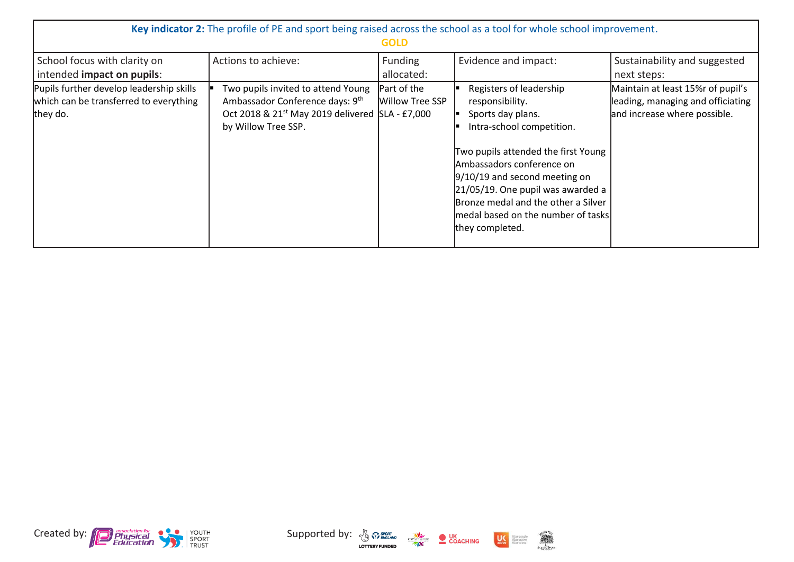|                                                                                                | Key indicator 2: The profile of PE and sport being raised across the school as a tool for whole school improvement.                                         | <b>GOLD</b>                    |                                                                                                                                                                                                                                                                                                                                             |                                                                                                        |
|------------------------------------------------------------------------------------------------|-------------------------------------------------------------------------------------------------------------------------------------------------------------|--------------------------------|---------------------------------------------------------------------------------------------------------------------------------------------------------------------------------------------------------------------------------------------------------------------------------------------------------------------------------------------|--------------------------------------------------------------------------------------------------------|
| School focus with clarity on<br>intended impact on pupils:                                     | Actions to achieve:                                                                                                                                         | <b>Funding</b><br>allocated:   | Evidence and impact:                                                                                                                                                                                                                                                                                                                        | Sustainability and suggested<br>next steps:                                                            |
| Pupils further develop leadership skills<br>which can be transferred to everything<br>they do. | Two pupils invited to attend Young<br>Ambassador Conference days: 9th<br>Oct 2018 & 21 <sup>st</sup> May 2019 delivered SLA - £7,000<br>by Willow Tree SSP. | Part of the<br>Willow Tree SSP | Registers of leadership<br>responsibility.<br>Sports day plans.<br>Intra-school competition.<br>Two pupils attended the first Young<br>Ambassadors conference on<br>$9/10/19$ and second meeting on<br>$21/05/19$ . One pupil was awarded a<br>Bronze medal and the other a Silver<br>medal based on the number of tasks<br>they completed. | Maintain at least 15%r of pupil's<br>leading, managing and officiating<br>and increase where possible. |



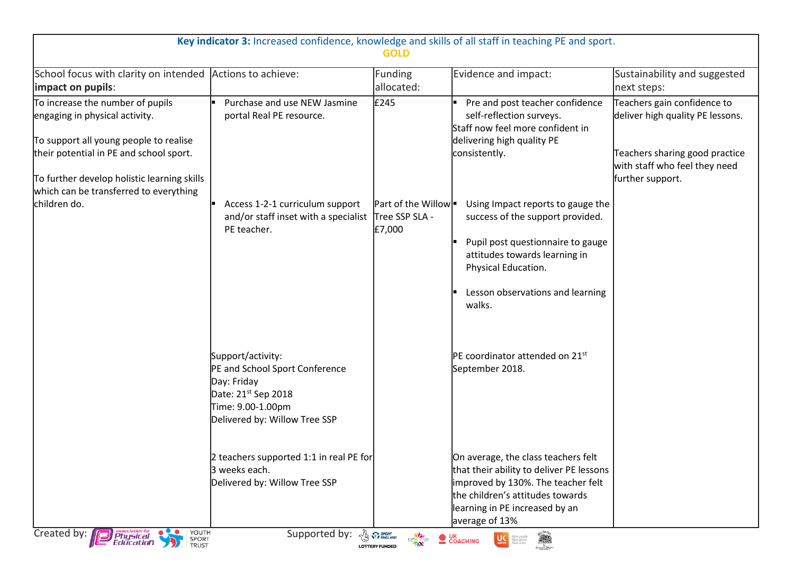| Key indicator 3: Increased confidence, knowledge and skills of all staff in teaching PE and sport.<br><b>GOLD</b>                                                                                                                                |                                                                                                                                                             |                                                |                                                                                                                                                                                                                           |                                                                                                                                                        |
|--------------------------------------------------------------------------------------------------------------------------------------------------------------------------------------------------------------------------------------------------|-------------------------------------------------------------------------------------------------------------------------------------------------------------|------------------------------------------------|---------------------------------------------------------------------------------------------------------------------------------------------------------------------------------------------------------------------------|--------------------------------------------------------------------------------------------------------------------------------------------------------|
| School focus with clarity on intended Actions to achieve:<br>impact on pupils:                                                                                                                                                                   |                                                                                                                                                             | Funding<br>allocated:                          | Evidence and impact:                                                                                                                                                                                                      | Sustainability and suggested<br>next steps:                                                                                                            |
| To increase the number of pupils<br>engaging in physical activity.<br>To support all young people to realise<br>their potential in PE and school sport.<br>To further develop holistic learning skills<br>which can be transferred to everything | Purchase and use NEW Jasmine<br>portal Real PE resource.                                                                                                    | £245                                           | Pre and post teacher confidence<br>self-reflection surveys.<br>Staff now feel more confident in<br>delivering high quality PE<br>consistently.                                                                            | Teachers gain confidence to<br>deliver high quality PE lessons.<br>Teachers sharing good practice<br>with staff who feel they need<br>further support. |
| children do.                                                                                                                                                                                                                                     | Access 1-2-1 curriculum support<br>and/or staff inset with a specialist<br>PE teacher.                                                                      | Part of the Willow<br>Tree SSP SLA -<br>£7,000 | Using Impact reports to gauge the<br>success of the support provided.<br>Pupil post questionnaire to gauge<br>attitudes towards learning in<br>Physical Education.<br>Lesson observations and learning<br>walks.          |                                                                                                                                                        |
|                                                                                                                                                                                                                                                  | Support/activity:<br>PE and School Sport Conference<br>Day: Friday<br>Date: 21 <sup>st</sup> Sep 2018<br>Time: 9.00-1.00pm<br>Delivered by: Willow Tree SSP |                                                | <b>PE</b> coordinator attended on 21 <sup>st</sup><br>September 2018.                                                                                                                                                     |                                                                                                                                                        |
| YOUTH<br>Created by:<br>Physical                                                                                                                                                                                                                 | 2 teachers supported 1:1 in real PE for<br>3 weeks each.<br>Delivered by: Willow Tree SSP<br>Supported by:                                                  | <b>BO</b> SPORT                                | On average, the class teachers felt<br>that their ability to deliver PE lessons<br>improved by 130%. The teacher felt<br>the children's attitudes towards<br>learning in PE increased by an<br>average of 13%<br><b>A</b> |                                                                                                                                                        |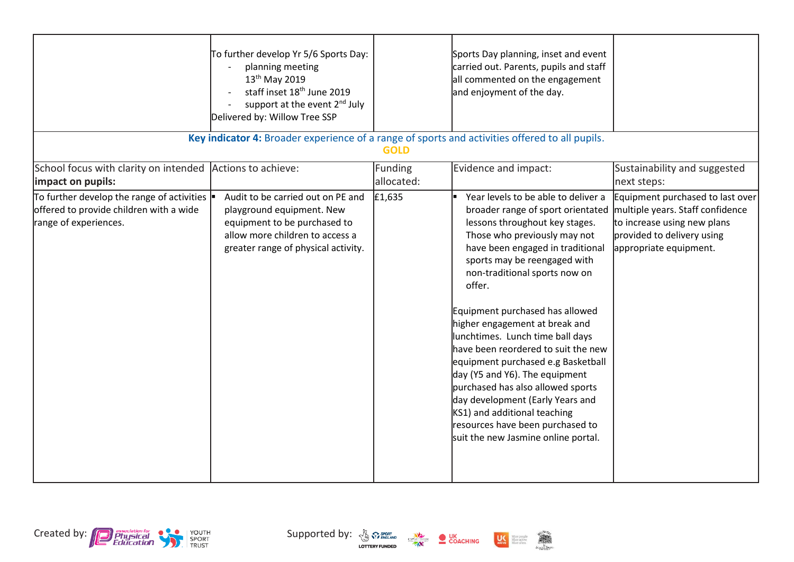|                                                                                                                                      | To further develop Yr 5/6 Sports Day:<br>planning meeting<br>13 <sup>th</sup> May 2019<br>staff inset 18 <sup>th</sup> June 2019<br>support at the event 2 <sup>nd</sup> July<br>Delivered by: Willow Tree SSP |                       | Sports Day planning, inset and event<br>carried out. Parents, pupils and staff<br>all commented on the engagement<br>and enjoyment of the day.                                                                                                                                                                                                                                                                                                                                                                                                                                                                                                                        |                                                                                                                                                             |
|--------------------------------------------------------------------------------------------------------------------------------------|----------------------------------------------------------------------------------------------------------------------------------------------------------------------------------------------------------------|-----------------------|-----------------------------------------------------------------------------------------------------------------------------------------------------------------------------------------------------------------------------------------------------------------------------------------------------------------------------------------------------------------------------------------------------------------------------------------------------------------------------------------------------------------------------------------------------------------------------------------------------------------------------------------------------------------------|-------------------------------------------------------------------------------------------------------------------------------------------------------------|
|                                                                                                                                      | Key indicator 4: Broader experience of a range of sports and activities offered to all pupils.                                                                                                                 | <b>GOLD</b>           |                                                                                                                                                                                                                                                                                                                                                                                                                                                                                                                                                                                                                                                                       |                                                                                                                                                             |
| School focus with clarity on intended<br>impact on pupils:                                                                           | Actions to achieve:                                                                                                                                                                                            | Funding<br>allocated: | Evidence and impact:                                                                                                                                                                                                                                                                                                                                                                                                                                                                                                                                                                                                                                                  | Sustainability and suggested<br>next steps:                                                                                                                 |
| To further develop the range of activities $\vert \bullet \vert$<br>offered to provide children with a wide<br>range of experiences. | Audit to be carried out on PE and<br>playground equipment. New<br>equipment to be purchased to<br>allow more children to access a<br>greater range of physical activity.                                       | £1,635                | Year levels to be able to deliver a<br>broader range of sport orientated<br>lessons throughout key stages.<br>Those who previously may not<br>have been engaged in traditional<br>sports may be reengaged with<br>non-traditional sports now on<br>offer.<br>Equipment purchased has allowed<br>higher engagement at break and<br>lunchtimes. Lunch time ball days<br>have been reordered to suit the new<br>equipment purchased e.g Basketball<br>day (Y5 and Y6). The equipment<br>purchased has also allowed sports<br>day development (Early Years and<br>KS1) and additional teaching<br>resources have been purchased to<br>suit the new Jasmine online portal. | Equipment purchased to last over<br>multiple years. Staff confidence<br>to increase using new plans<br>provided to delivery using<br>appropriate equipment. |





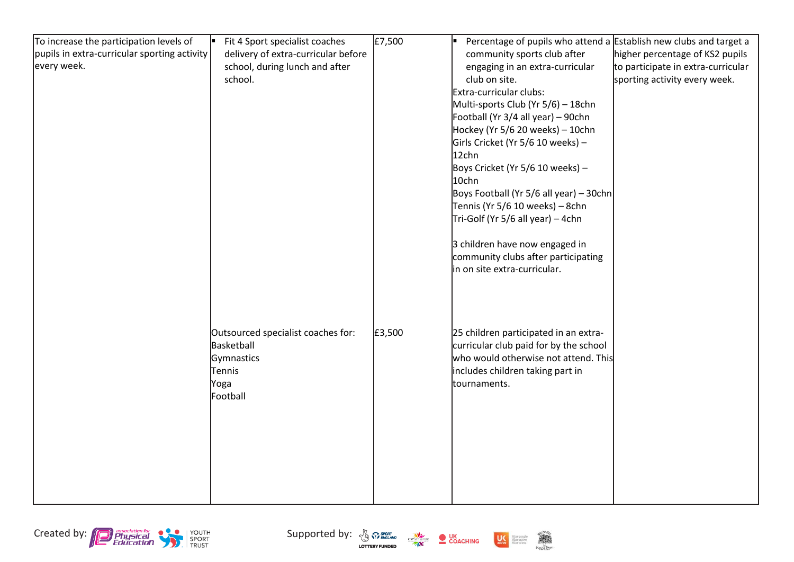| To increase the participation levels of      | Fit 4 Sport specialist coaches      | £7,500 | Percentage of pupils who attend a Establish new clubs and target a<br>le. |                                    |
|----------------------------------------------|-------------------------------------|--------|---------------------------------------------------------------------------|------------------------------------|
| pupils in extra-curricular sporting activity | delivery of extra-curricular before |        | community sports club after                                               | higher percentage of KS2 pupils    |
| every week.                                  | school, during lunch and after      |        | engaging in an extra-curricular                                           | to participate in extra-curricular |
|                                              | school.                             |        | club on site.                                                             | sporting activity every week.      |
|                                              |                                     |        | Extra-curricular clubs:                                                   |                                    |
|                                              |                                     |        | Multi-sports Club (Yr 5/6) - 18chn                                        |                                    |
|                                              |                                     |        | Football (Yr 3/4 all year) - 90chn                                        |                                    |
|                                              |                                     |        | Hockey (Yr 5/6 20 weeks) - 10chn                                          |                                    |
|                                              |                                     |        | Girls Cricket (Yr 5/6 10 weeks) -                                         |                                    |
|                                              |                                     |        | 12chn                                                                     |                                    |
|                                              |                                     |        | Boys Cricket (Yr 5/6 10 weeks) -                                          |                                    |
|                                              |                                     |        | 10chn                                                                     |                                    |
|                                              |                                     |        | Boys Football (Yr 5/6 all year) - 30chn                                   |                                    |
|                                              |                                     |        | Tennis (Yr 5/6 10 weeks) - 8chn                                           |                                    |
|                                              |                                     |        | Tri-Golf (Yr 5/6 all year) – 4chn                                         |                                    |
|                                              |                                     |        |                                                                           |                                    |
|                                              |                                     |        | 3 children have now engaged in                                            |                                    |
|                                              |                                     |        | community clubs after participating                                       |                                    |
|                                              |                                     |        | in on site extra-curricular.                                              |                                    |
|                                              |                                     |        |                                                                           |                                    |
|                                              |                                     |        |                                                                           |                                    |
|                                              |                                     |        |                                                                           |                                    |
|                                              |                                     |        |                                                                           |                                    |
|                                              | Outsourced specialist coaches for:  | £3,500 | 25 children participated in an extra-                                     |                                    |
|                                              | Basketball                          |        | curricular club paid for by the school                                    |                                    |
|                                              | Gymnastics                          |        | who would otherwise not attend. This                                      |                                    |
|                                              | Tennis                              |        | includes children taking part in                                          |                                    |
|                                              | Yoga                                |        | tournaments.                                                              |                                    |
|                                              | Football                            |        |                                                                           |                                    |
|                                              |                                     |        |                                                                           |                                    |
|                                              |                                     |        |                                                                           |                                    |
|                                              |                                     |        |                                                                           |                                    |
|                                              |                                     |        |                                                                           |                                    |
|                                              |                                     |        |                                                                           |                                    |
|                                              |                                     |        |                                                                           |                                    |
|                                              |                                     |        |                                                                           |                                    |
|                                              |                                     |        |                                                                           |                                    |